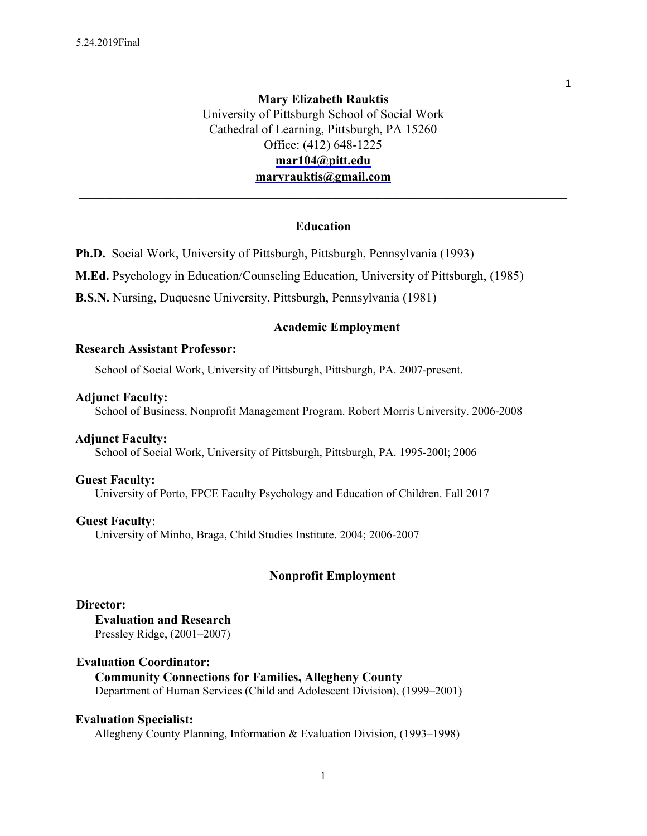# **Mary Elizabeth Rauktis**  University of Pittsburgh School of Social Work Cathedral of Learning, Pittsburgh, PA 15260 Office: (412) 648-1225 **mar104@pitt.edu maryrauktis@gmail.com**

# **Education**

**\_\_\_\_\_\_\_\_\_\_\_\_\_\_\_\_\_\_\_\_\_\_\_\_\_\_\_\_\_\_\_\_\_\_\_\_\_\_\_\_\_\_\_\_\_\_\_\_\_\_\_\_\_\_\_\_\_\_\_\_\_\_\_\_\_\_\_\_\_\_\_\_\_\_\_\_\_** 

**Ph.D.** Social Work, University of Pittsburgh, Pittsburgh, Pennsylvania (1993)

**M.Ed.** Psychology in Education/Counseling Education, University of Pittsburgh, (1985)

**B.S.N.** Nursing, Duquesne University, Pittsburgh, Pennsylvania (1981)

### **Academic Employment**

### **Research Assistant Professor:**

School of Social Work, University of Pittsburgh, Pittsburgh, PA. 2007-present.

### **Adjunct Faculty:**

School of Business, Nonprofit Management Program. Robert Morris University. 2006-2008

### **Adjunct Faculty:**

School of Social Work, University of Pittsburgh, Pittsburgh, PA. 1995-200l; 2006

### **Guest Faculty:**

University of Porto, FPCE Faculty Psychology and Education of Children. Fall 2017

### **Guest Faculty**:

University of Minho, Braga, Child Studies Institute. 2004; 2006-2007

### **Nonprofit Employment**

### **Director:**

**Evaluation and Research** Pressley Ridge, (2001–2007)

### **Evaluation Coordinator:**

### **Community Connections for Families, Allegheny County**

Department of Human Services (Child and Adolescent Division), (1999–2001)

## **Evaluation Specialist:**

Allegheny County Planning, Information & Evaluation Division, (1993–1998)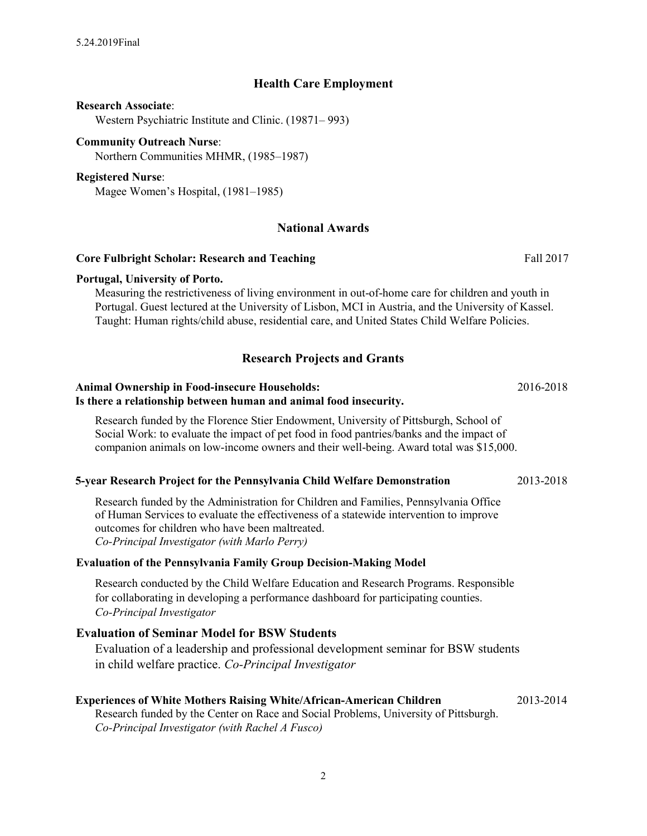# **Health Care Employment**

### **Research Associate**:

Western Psychiatric Institute and Clinic. (19871– 993)

### **Community Outreach Nurse**:

Northern Communities MHMR, (1985–1987)

### **Registered Nurse**:

Magee Women's Hospital, (1981–1985)

# **National Awards**

# **Core Fulbright Scholar: Research and Teaching** Fall <sup>2017</sup> **Portugal, University of Porto.**

Measuring the restrictiveness of living environment in out-of-home care for children and youth in Portugal. Guest lectured at the University of Lisbon, MCI in Austria, and the University of Kassel. Taught: Human rights/child abuse, residential care, and United States Child Welfare Policies.

# **Research Projects and Grants**

### **Animal Ownership in Food-insecure Households:** 2016-2018 **Is there a relationship between human and animal food insecurity.**

Research funded by the Florence Stier Endowment, University of Pittsburgh, School of Social Work: to evaluate the impact of pet food in food pantries/banks and the impact of companion animals on low-income owners and their well-being. Award total was \$15,000.

### **5-year Research Project for the Pennsylvania Child Welfare Demonstration** 2013-2018

Research funded by the Administration for Children and Families, Pennsylvania Office of Human Services to evaluate the effectiveness of a statewide intervention to improve outcomes for children who have been maltreated. *Co-Principal Investigator (with Marlo Perry)*

### **Evaluation of the Pennsylvania Family Group Decision-Making Model**

Research conducted by the Child Welfare Education and Research Programs. Responsible for collaborating in developing a performance dashboard for participating counties. *Co-Principal Investigator* 

# **Evaluation of Seminar Model for BSW Students**

Evaluation of a leadership and professional development seminar for BSW students in child welfare practice. *Co-Principal Investigator* 

### **Experiences of White Mothers Raising White/African-American Children** 2013-2014

Research funded by the Center on Race and Social Problems, University of Pittsburgh. *Co-Principal Investigator (with Rachel A Fusco)*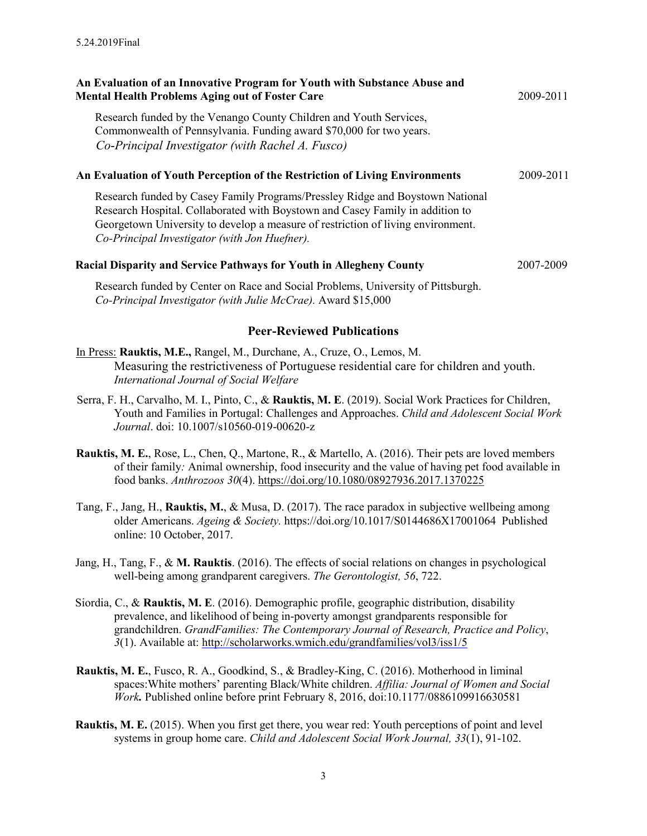| An Evaluation of an Innovative Program for Youth with Substance Abuse and<br><b>Mental Health Problems Aging out of Foster Care</b>                                                                                                                                                                 | 2009-2011 |
|-----------------------------------------------------------------------------------------------------------------------------------------------------------------------------------------------------------------------------------------------------------------------------------------------------|-----------|
| Research funded by the Venango County Children and Youth Services,<br>Commonwealth of Pennsylvania. Funding award \$70,000 for two years.<br>Co-Principal Investigator (with Rachel A. Fusco)                                                                                                       |           |
| An Evaluation of Youth Perception of the Restriction of Living Environments                                                                                                                                                                                                                         | 2009-2011 |
| Research funded by Casey Family Programs/Pressley Ridge and Boystown National<br>Research Hospital. Collaborated with Boystown and Casey Family in addition to<br>Georgetown University to develop a measure of restriction of living environment.<br>Co-Principal Investigator (with Jon Huefner). |           |
| <b>Racial Disparity and Service Pathways for Youth in Allegheny County</b>                                                                                                                                                                                                                          | 2007-2009 |
| Research funded by Center on Race and Social Problems, University of Pittsburgh.<br>Co-Principal Investigator (with Julie McCrae). Award \$15,000                                                                                                                                                   |           |

# **Peer-Reviewed Publications**

- In Press: **Rauktis, M.E.,** Rangel, M., Durchane, A., Cruze, O., Lemos, M. Measuring the restrictiveness of Portuguese residential care for children and youth. *International Journal of Social Welfare*
- Serra, F. H., Carvalho, M. I., Pinto, C., & **Rauktis, M. E**. (2019). Social Work Practices for Children, Youth and Families in Portugal: Challenges and Approaches. *Child and Adolescent Social Work Journal*. doi: 10.1007/s10560-019-00620-z
- **Rauktis, M. E.**, Rose, L., Chen, Q., Martone, R., & Martello, A. (2016). Their pets are loved members of their family*:* Animal ownership, food insecurity and the value of having pet food available in food banks. *Anthrozoos 30*(4). <https://doi.org/10.1080/08927936.2017.1370225>
- Tang, F., Jang, H., **Rauktis, M.**, & Musa, D. (2017). The race paradox in subjective wellbeing among older Americans. *Ageing & Society.* <https://doi.org/10.1017/S0144686X17001064> Published online: 10 October, 2017.
- Jang, H., Tang, F., & **M. Rauktis**. (2016). The effects of social relations on changes in psychological well-being among grandparent caregivers. *The Gerontologist, 56*, 722.
- Siordia, C., & **Rauktis, M. E**. (2016). Demographic profile, geographic distribution, disability prevalence, and likelihood of being in-poverty amongst grandparents responsible for grandchildren. *GrandFamilies: The Contemporary Journal of Research, Practice and Policy*, *3*(1). Available at:<http://scholarworks.wmich.edu/grandfamilies/vol3/iss1/5>
- **Rauktis, M. E.**, Fusco, R. A., Goodkind, S., & Bradley-King, C. (2016). Motherhood in liminal spaces:White mothers' parenting Black/White children. *Affilia: Journal of Women and Social Work.* Published online before print February 8, 2016, doi:10.1177/0886109916630581
- **Rauktis, M. E.** (2015). When you first get there, you wear red: Youth perceptions of point and level systems in group home care. *[Child and Adolescent Social Work Journal,](http://link.springer.com/journal/10560) 33*(1), 91-102.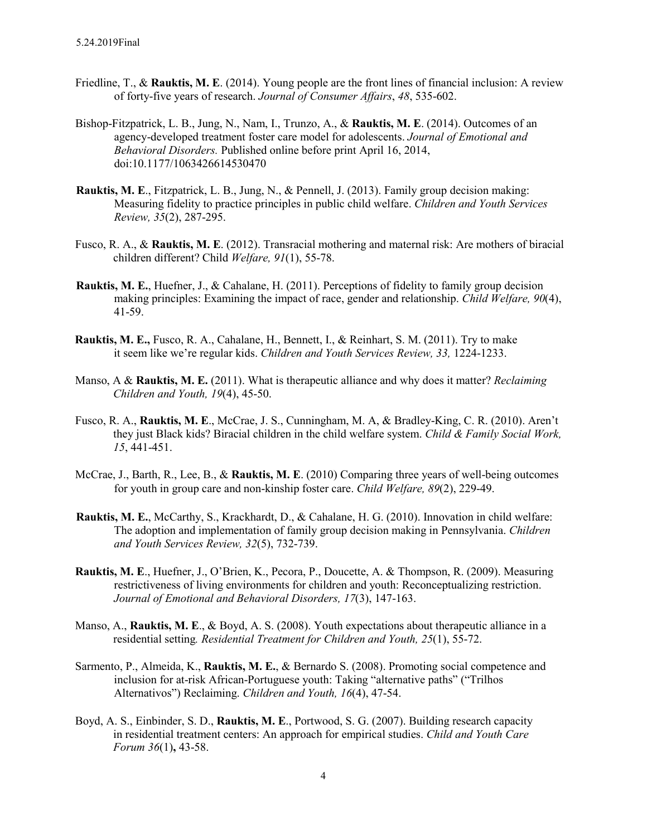- Friedline, T., & **Rauktis, M. E**. (2014). Young people are the front lines of financial inclusion: A review of forty-five years of research. *Journal of Consumer Affairs*, *48*, 535-602.
- Bishop-Fitzpatrick, L. B., Jung, N., Nam, I., Trunzo, A., & **Rauktis, M. E**. (2014). Outcomes of an agency-developed treatment foster care model for adolescents. *Journal of Emotional and Behavioral Disorders.* Published online before print April 16, 2014, doi:10.1177/1063426614530470
- **Rauktis, M. E**., Fitzpatrick, L. B., Jung, N., & Pennell, J. (2013). Family group decision making: Measuring fidelity to practice principles in public child welfare. *Children and Youth Services Review, 35*(2), 287-295.
- Fusco, R. A., & **Rauktis, M. E**. (2012). Transracial mothering and maternal risk: Are mothers of biracial children different? Child *Welfare, 91*(1), 55-78.
- **Rauktis, M. E.**, Huefner, J., & Cahalane, H. (2011). Perceptions of fidelity to family group decision making principles: Examining the impact of race, gender and relationship. *Child Welfare, 90*(4), 41-59.
- **Rauktis, M. E.,** Fusco, R. A., Cahalane, H., Bennett, I., & Reinhart, S. M. (2011). Try to make it seem like we're regular kids. *Children and Youth Services Review, 33,* 1224-1233.
- Manso, A & **Rauktis, M. E.** (2011). What is therapeutic alliance and why does it matter? *Reclaiming Children and Youth, 19*(4), 45-50.
- Fusco, R. A., **Rauktis, M. E**., McCrae, J. S., Cunningham, M. A, & Bradley-King, C. R. (2010). Aren't they just Black kids? Biracial children in the child welfare system. *Child & Family Social Work, 15*, 441-451.
- McCrae, J., Barth, R., Lee, B., & **Rauktis, M. E**. (2010) Comparing three years of well-being outcomes for youth in group care and non-kinship foster care. *Child Welfare, 89*(2), 229-49.
- **Rauktis, M. E.**, McCarthy, S., Krackhardt, D., & Cahalane, H. G. (2010). Innovation in child welfare: The adoption and implementation of family group decision making in Pennsylvania. *[Children](http://www.sciencedirect.com/science/journal/01907409)  [and Youth Services Review,](http://www.sciencedirect.com/science/journal/01907409) [3](http://www.sciencedirect.com/science/journal/01907409)2*[\(5\),](http://www.sciencedirect.com/science/journal/01907409) 732-739.
- **Rauktis, M. E**., Huefner, J., O'Brien, K., Pecora, P., Doucette, A. & Thompson, R. (2009). Measuring restrictiveness of living environments for children and youth: Reconceptualizing restriction. *Journal of Emotional and Behavioral Disorders, 17*(3), 147-163.
- Manso, A., **Rauktis, M. E**., & Boyd, A. S. (2008). Youth expectations about therapeutic alliance in a residential setting*. Residential Treatment for Children and Youth, 25*(1), 55-72.
- Sarmento, P., Almeida, K., **Rauktis, M. E.**, & Bernardo S. (2008). Promoting social competence and inclusion for at-risk African-Portuguese youth: Taking "alternative paths" ("Trilhos Alternativos") Reclaiming. *Children and Youth, 16*(4), 47-54.
- Boyd, A. S., Einbinder, S. D., **Rauktis, M. E**., Portwood, S. G. (2007). Building research capacity in residential treatment centers: An approach for empirical studies. *Child and Youth Care Forum 36*(1)**,** 43-58.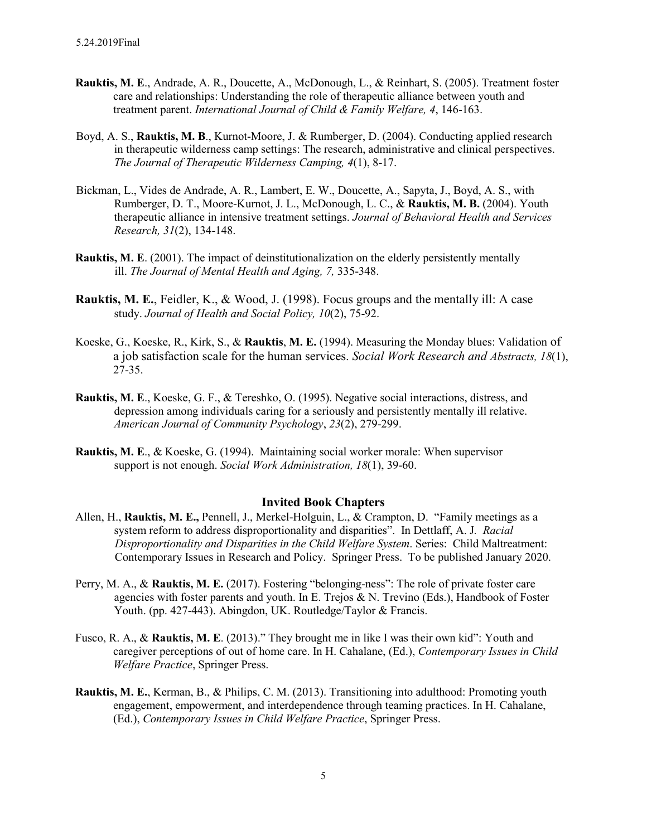- **Rauktis, M. E**., Andrade, A. R., Doucette, A., McDonough, L., & Reinhart, S. (2005). Treatment foster care and relationships: Understanding the role of therapeutic alliance between youth and treatment parent. *International Journal of Child & Family Welfare, 4*, 146-163.
- Boyd, A. S., **Rauktis, M. B**., Kurnot-Moore, J. & Rumberger, D. (2004). Conducting applied research in therapeutic wilderness camp settings: The research, administrative and clinical perspectives. *The Journal of Therapeutic Wilderness Camping, 4*(1), 8-17.
- Bickman, L., Vides de Andrade, A. R., Lambert, E. W., Doucette, A., Sapyta, J., Boyd, A. S., with Rumberger, D. T., Moore-Kurnot, J. L., McDonough, L. C., & **Rauktis, M. B.** (2004). Youth therapeutic alliance in intensive treatment settings. *Journal of Behavioral Health and Services Research, 31*(2), 134-148.
- **Rauktis, M. E**. (2001). The impact of deinstitutionalization on the elderly persistently mentally ill. *The Journal of Mental Health and Aging, 7,* 335-348.
- **Rauktis, M. E.**, Feidler, K., & Wood, J. (1998). Focus groups and the mentally ill: A case study. *Journal of Health and Social Policy, 10*(2), 75-92.
- Koeske, G., Koeske, R., Kirk, S., & **Rauktis**, **M. E.** (1994). Measuring the Monday blues: Validation of a job satisfaction scale for the human services. *Social Work Research and Abstracts, 18*(1), 27-35.
- **Rauktis, M. E**., Koeske, G. F., & Tereshko, O. (1995). Negative social interactions, distress, and depression among individuals caring for a seriously and persistently mentally ill relative. *American Journal of Community Psychology*, *23*(2), 279-299.
- **Rauktis, M. E**., & Koeske, G. (1994). Maintaining social worker morale: When supervisor support is not enough. *Social Work Administration, 18*(1), 39-60.

### **Invited Book Chapters**

- Allen, H., **Rauktis, M. E.,** Pennell, J., Merkel-Holguin, L., & Crampton, D. "Family meetings as a system reform to address disproportionality and disparities". In Dettlaff, A. J*. Racial Disproportionality and Disparities in the Child Welfare System*. Series: Child Maltreatment: Contemporary Issues in Research and Policy. Springer Press. To be published January 2020.
- Perry, M. A., & **Rauktis, M. E.** (2017). Fostering "belonging-ness": The role of private foster care agencies with foster parents and youth. In E. Trejos & N. Trevino (Eds.), Handbook of Foster Youth. (pp. 427-443). Abingdon, UK. Routledge/Taylor & Francis.
- Fusco, R. A., & **Rauktis, M. E**. (2013)." They brought me in like I was their own kid": Youth and caregiver perceptions of out of home care. In H. Cahalane, (Ed.), *Contemporary Issues in Child Welfare Practice*, Springer Press.
- **Rauktis, M. E.**, Kerman, B., & Philips, C. M. (2013). Transitioning into adulthood: Promoting youth engagement, empowerment, and interdependence through teaming practices. In H. Cahalane, (Ed.), *Contemporary Issues in Child Welfare Practice*, Springer Press.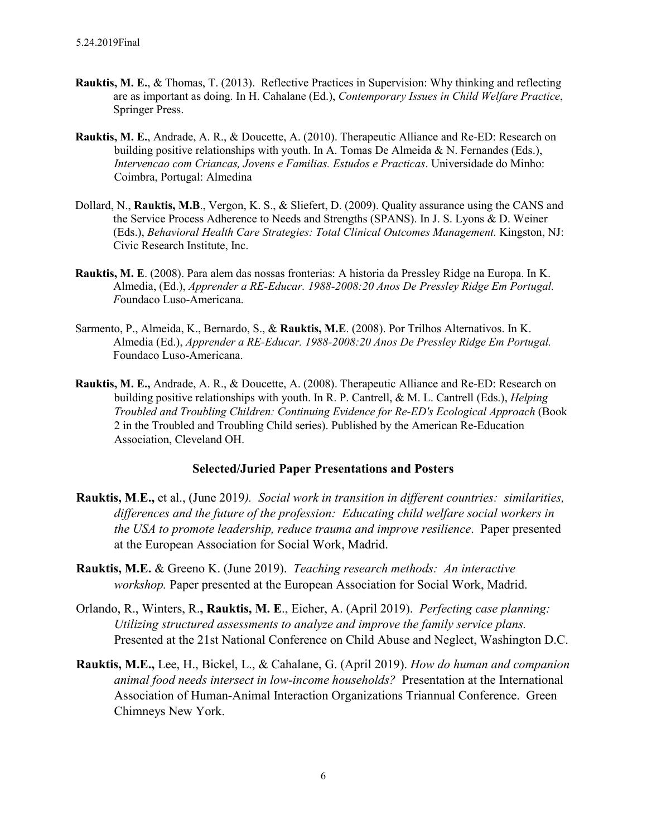- **Rauktis, M. E.**, & Thomas, T. (2013). Reflective Practices in Supervision: Why thinking and reflecting are as important as doing. In H. Cahalane (Ed.), *Contemporary Issues in Child Welfare Practice*, Springer Press.
- **Rauktis, M. E.**, Andrade, A. R., & Doucette, A. (2010). Therapeutic Alliance and Re-ED: Research on building positive relationships with youth. In A. Tomas De Almeida & N. Fernandes (Eds.), *Intervencao com Criancas, Jovens e Familias. Estudos e Practicas*. Universidade do Minho: Coimbra, Portugal: Almedina
- Dollard, N., **Rauktis, M.B**., Vergon, K. S., & Sliefert, D. (2009). Quality assurance using the CANS and the Service Process Adherence to Needs and Strengths (SPANS). In J. S. Lyons & D. Weiner (Eds.), *Behavioral Health Care Strategies: Total Clinical Outcomes Management.* Kingston, NJ: Civic Research Institute, Inc.
- **Rauktis, M. E**. (2008). Para alem das nossas fronterias: A historia da Pressley Ridge na Europa. In K. Almedia, (Ed.), *Apprender a RE-Educar. 1988-2008:20 Anos De Pressley Ridge Em Portugal. F*oundaco Luso-Americana.
- Sarmento, P., Almeida, K., Bernardo, S., & **Rauktis, M.E**. (2008). Por Trilhos Alternativos. In K. Almedia (Ed.), *Apprender a RE-Educar. 1988-2008:20 Anos De Pressley Ridge Em Portugal.* Foundaco Luso-Americana.
- **Rauktis, M. E.,** Andrade, A. R., & Doucette, A. (2008). Therapeutic Alliance and Re-ED: Research on building positive relationships with youth. In R. P. Cantrell, & M. L. Cantrell (Eds.), *Helping Troubled and Troubling Children: Continuing Evidence for Re-ED's Ecological Approach* (Book 2 in the Troubled and Troubling Child series). Published by the American Re-Education Association, Cleveland OH.

### **Selected/Juried Paper Presentations and Posters**

- **Rauktis, M**.**E.,** et al., (June 2019*). Social work in transition in different countries: similarities, differences and the future of the profession: Educating child welfare social workers in the USA to promote leadership, reduce trauma and improve resilience*. Paper presented at the European Association for Social Work, Madrid.
- **Rauktis, M.E.** & Greeno K. (June 2019). *Teaching research methods: An interactive workshop.* Paper presented at the European Association for Social Work, Madrid.
- Orlando, R., Winters, R.**, Rauktis, M. E**., Eicher, A. (April 2019). *Perfecting case planning: Utilizing structured assessments to analyze and improve the family service plans.* Presented at the 21st National Conference on Child Abuse and Neglect, Washington D.C.
- **Rauktis, M.E.,** Lee, H., Bickel, L., & Cahalane, G. (April 2019). *How do human and companion animal food needs intersect in low-income households?* Presentation at the International Association of Human-Animal Interaction Organizations Triannual Conference. Green Chimneys New York.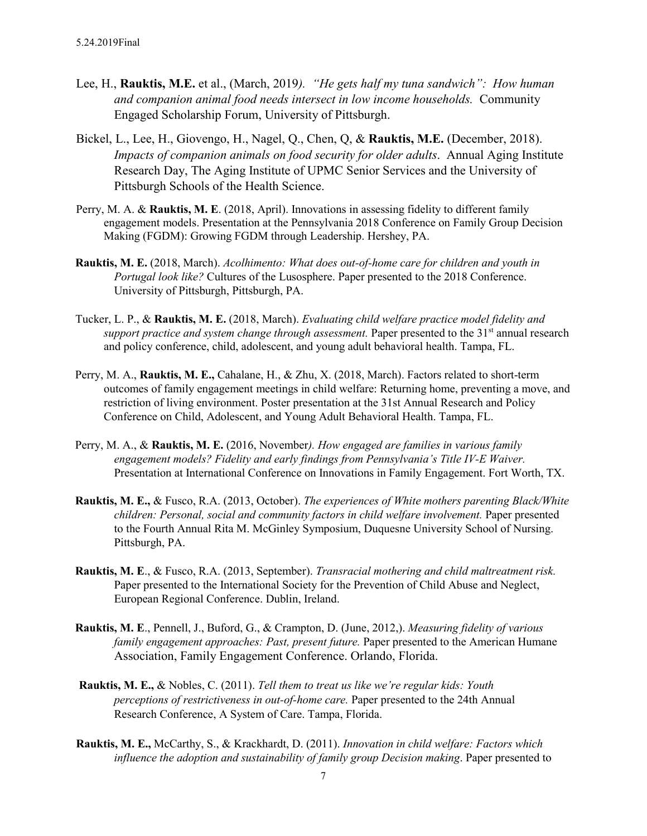- Lee, H., **Rauktis, M.E.** et al., (March, 2019*). "He gets half my tuna sandwich": How human and companion animal food needs intersect in low income households.* Community Engaged Scholarship Forum, University of Pittsburgh.
- Bickel, L., Lee, H., Giovengo, H., Nagel, Q., Chen, Q, & **Rauktis, M.E.** (December, 2018). *Impacts of companion animals on food security for older adults*. Annual Aging Institute Research Day, The Aging Institute of UPMC Senior Services and the University of Pittsburgh Schools of the Health Science.
- Perry, M. A. & **Rauktis, M. E**. (2018, April). Innovations in assessing fidelity to different family engagement models. Presentation at the Pennsylvania 2018 Conference on Family Group Decision Making (FGDM): Growing FGDM through Leadership. Hershey, PA.
- **Rauktis, M. E.** (2018, March). *Acolhimento: What does out-of-home care for children and youth in Portugal look like?* Cultures of the Lusosphere. Paper presented to the 2018 Conference. University of Pittsburgh, Pittsburgh, PA.
- Tucker, L. P., & **Rauktis, M. E.** (2018, March). *Evaluating child welfare practice model fidelity and support practice and system change through assessment.* Paper presented to the 31<sup>st</sup> annual research and policy conference, child, adolescent, and young adult behavioral health. Tampa, FL.
- Perry, M. A., **Rauktis, M. E.,** Cahalane, H., & Zhu, X. (2018, March). Factors related to short-term outcomes of family engagement meetings in child welfare: Returning home, preventing a move, and restriction of living environment. Poster presentation at the 31st Annual Research and Policy Conference on Child, Adolescent, and Young Adult Behavioral Health. Tampa, FL.
- Perry, M. A., & **Rauktis, M. E.** (2016, November*). How engaged are families in various family engagement models? Fidelity and early findings from Pennsylvania's Title IV-E Waiver.* Presentation at International Conference on Innovations in Family Engagement. Fort Worth, TX.
- **Rauktis, M. E.,** & Fusco, R.A. (2013, October). *The experiences of White mothers parenting Black/White children: Personal, social and community factors in child welfare involvement.* Paper presented to the Fourth Annual Rita M. McGinley Symposium, Duquesne University School of Nursing. Pittsburgh, PA.
- **Rauktis, M. E**., & Fusco, R.A. (2013, September). *Transracial mothering and child maltreatment risk.* Paper presented to the International Society for the Prevention of Child Abuse and Neglect, European Regional Conference. Dublin, Ireland.
- **Rauktis, M. E**., Pennell, J., Buford, G., & Crampton, D. (June, 2012,). *Measuring fidelity of various family engagement approaches: Past, present future.* Paper presented to the American Humane Association, Family Engagement Conference. Orlando, Florida.
- **Rauktis, M. E.,** & Nobles, C. (2011). *Tell them to treat us like we're regular kids: Youth perceptions of restrictiveness in out-of-home care.* Paper presented to the 24th Annual Research Conference, A System of Care. Tampa, Florida.
- **Rauktis, M. E.,** McCarthy, S., & Krackhardt, D. (2011). *Innovation in child welfare: Factors which influence the adoption and sustainability of family group Decision making*. Paper presented to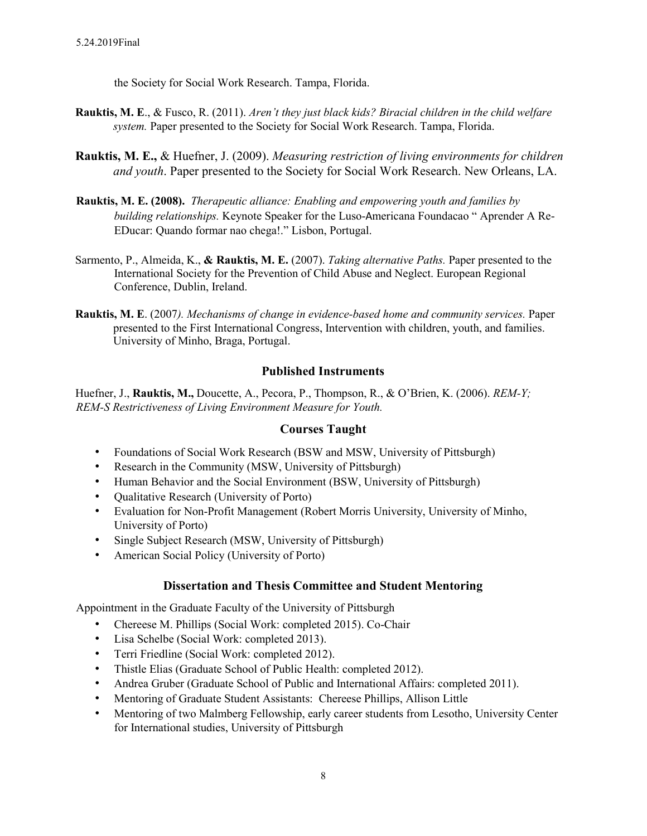the Society for Social Work Research. Tampa, Florida.

- **Rauktis, M. E**., & Fusco, R. (2011). *Aren't they just black kids? Biracial children in the child welfare system.* Paper presented to the Society for Social Work Research. Tampa, Florida.
- **Rauktis, M. E.,** & Huefner, J. (2009). *Measuring restriction of living environments for children and youth*. Paper presented to the Society for Social Work Research. New Orleans, LA.
- **Rauktis, M. E. (2008).** *Therapeutic alliance: Enabling and empowering youth and families by building relationships.* Keynote Speaker for the Luso-Americana Foundacao " Aprender A Re-EDucar: Quando formar nao chega!." Lisbon, Portugal.
- Sarmento, P., Almeida, K., **& Rauktis, M. E.** (2007). *Taking alternative Paths.* Paper presented to the International Society for the Prevention of Child Abuse and Neglect. European Regional Conference, Dublin, Ireland.
- **Rauktis, M. E**. (2007*). Mechanisms of change in evidence-based home and community services.* Paper presented to the First International Congress, Intervention with children, youth, and families. University of Minho, Braga, Portugal.

# **Published Instruments**

Huefner, J., **Rauktis, M.,** Doucette, A., Pecora, P., Thompson, R., & O'Brien, K. (2006). *REM-Y; REM-S Restrictiveness of Living Environment Measure for Youth.* 

# **Courses Taught**

- Foundations of Social Work Research (BSW and MSW, University of Pittsburgh)
- Research in the Community (MSW, University of Pittsburgh)
- Human Behavior and the Social Environment (BSW, University of Pittsburgh)
- Qualitative Research (University of Porto)
- Evaluation for Non-Profit Management (Robert Morris University, University of Minho, University of Porto)
- Single Subject Research (MSW, University of Pittsburgh)
- American Social Policy (University of Porto)

# **Dissertation and Thesis Committee and Student Mentoring**

Appointment in the Graduate Faculty of the University of Pittsburgh

- Chereese M. Phillips (Social Work: completed 2015). Co-Chair
- Lisa Schelbe (Social Work: completed 2013).
- Terri Friedline (Social Work: completed 2012).
- Thistle Elias (Graduate School of Public Health: completed 2012).
- Andrea Gruber (Graduate School of Public and International Affairs: completed 2011).
- Mentoring of Graduate Student Assistants: Chereese Phillips, Allison Little
- Mentoring of two Malmberg Fellowship, early career students from Lesotho, University Center for International studies, University of Pittsburgh